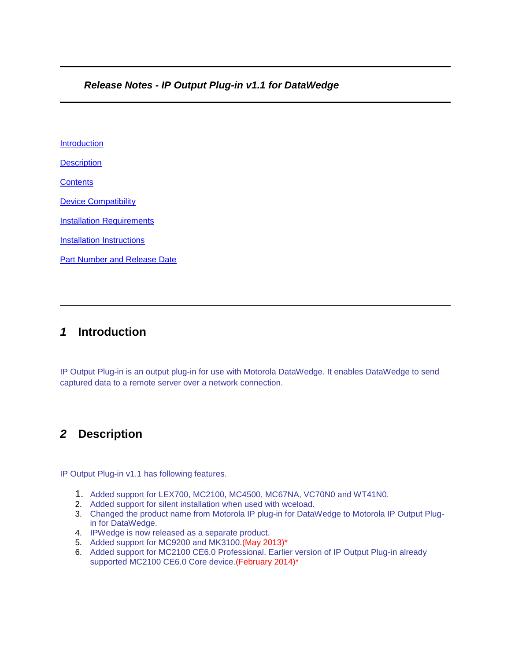#### *Release Notes - IP Output Plug-in v1.1 for DataWedge*

[Introduction](http://compass.mot-solutions.com/cgi/fetch/2001/11041198/229837165/229861876/229861797/229888306/231734578/235681575/229888313/420438716/231429486/390564408/400693490/427419052/442516396/442502893/472683827/Release%2520Notes%2520%252D%2520IP%2520Output%2520Plug%252Din%2520v1.1.htm#Introduction) **[Description](http://compass.mot-solutions.com/cgi/fetch/2001/11041198/229837165/229861876/229861797/229888306/231734578/235681575/229888313/420438716/231429486/390564408/400693490/427419052/442516396/442502893/472683827/Release%2520Notes%2520%252D%2520IP%2520Output%2520Plug%252Din%2520v1.1.htm#Description) [Contents](http://compass.mot-solutions.com/cgi/fetch/2001/11041198/229837165/229861876/229861797/229888306/231734578/235681575/229888313/420438716/231429486/390564408/400693490/427419052/442516396/442502893/472683827/Release%2520Notes%2520%252D%2520IP%2520Output%2520Plug%252Din%2520v1.1.htm#Contents)** [Device Compatibility](http://compass.mot-solutions.com/cgi/fetch/2001/11041198/229837165/229861876/229861797/229888306/231734578/235681575/229888313/420438716/231429486/390564408/400693490/427419052/442516396/442502893/472683827/Release%2520Notes%2520%252D%2520IP%2520Output%2520Plug%252Din%2520v1.1.htm#Compatibility_) **[Installation Requirements](http://compass.mot-solutions.com/cgi/fetch/2001/11041198/229837165/229861876/229861797/229888306/231734578/235681575/229888313/420438716/231429486/390564408/400693490/427419052/442516396/442502893/472683827/Release%2520Notes%2520%252D%2520IP%2520Output%2520Plug%252Din%2520v1.1.htm#Installation_Requirements)** [Installation Instructions](http://compass.mot-solutions.com/cgi/fetch/2001/11041198/229837165/229861876/229861797/229888306/231734578/235681575/229888313/420438716/231429486/390564408/400693490/427419052/442516396/442502893/472683827/Release%2520Notes%2520%252D%2520IP%2520Output%2520Plug%252Din%2520v1.1.htm#Installation_Instructions) [Part Number and Release Date](http://compass.mot-solutions.com/cgi/fetch/2001/11041198/229837165/229861876/229861797/229888306/231734578/235681575/229888313/420438716/231429486/390564408/400693490/427419052/442516396/442502893/472683827/Release%2520Notes%2520%252D%2520IP%2520Output%2520Plug%252Din%2520v1.1.htm#Document_Number_/_Revision_/_Release_Date_)

### *1* **Introduction**

IP Output Plug-in is an output plug-in for use with Motorola DataWedge. It enables DataWedge to send captured data to a remote server over a network connection.

### *2* **Description**

IP Output Plug-in v1.1 has following features.

- 1. Added support for LEX700, MC2100, MC4500, MC67NA, VC70N0 and WT41N0.
- 2. Added support for silent installation when used with wceload.
- 3. Changed the product name from Motorola IP plug-in for DataWedge to Motorola IP Output Plugin for DataWedge.
- 4. IPWedge is now released as a separate product.
- 5. Added support for MC9200 and MK3100.(May 2013)\*
- 6. Added support for MC2100 CE6.0 Professional. Earlier version of IP Output Plug-in already supported MC2100 CE6.0 Core device.(February 2014)\*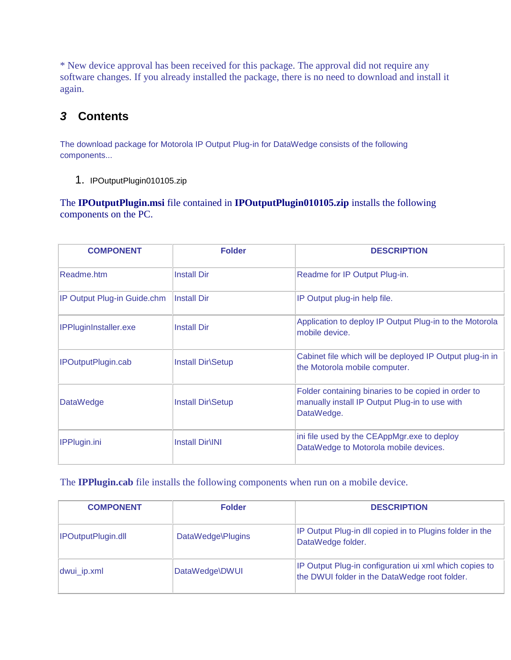\* New device approval has been received for this package. The approval did not require any software changes. If you already installed the package, there is no need to download and install it again.

## *3* **Contents**

The download package for Motorola IP Output Plug-in for DataWedge consists of the following components...

1. IPOutputPlugin010105.zip

The **IPOutputPlugin.msi** file contained in **IPOutputPlugin010105.zip** installs the following components on the PC.

| <b>COMPONENT</b>            | <b>Folder</b>            | <b>DESCRIPTION</b>                                                                                                  |
|-----------------------------|--------------------------|---------------------------------------------------------------------------------------------------------------------|
| Readme.htm                  | <b>Install Dir</b>       | Readme for IP Output Plug-in.                                                                                       |
| IP Output Plug-in Guide.chm | <b>Install Dir</b>       | IP Output plug-in help file.                                                                                        |
| IPPluginInstaller.exe       | <b>Install Dir</b>       | Application to deploy IP Output Plug-in to the Motorola<br>mobile device.                                           |
| IPOutputPlugin.cab          | <b>Install Dir Setup</b> | Cabinet file which will be deployed IP Output plug-in in<br>the Motorola mobile computer.                           |
| <b>DataWedge</b>            | <b>Install Dir Setup</b> | Folder containing binaries to be copied in order to<br>manually install IP Output Plug-in to use with<br>DataWedge. |
| <b>IPPlugin.ini</b>         | <b>Install Dir\INI</b>   | ini file used by the CEAppMgr.exe to deploy<br>DataWedge to Motorola mobile devices.                                |

The **IPPlugin.cab** file installs the following components when run on a mobile device.

| <b>COMPONENT</b>   | <b>Folder</b>     | <b>DESCRIPTION</b>                                                                                      |
|--------------------|-------------------|---------------------------------------------------------------------------------------------------------|
| IPOutputPlugin.dll | DataWedge\Plugins | IP Output Plug-in dll copied in to Plugins folder in the<br>DataWedge folder.                           |
| dwui_ip.xml        | DataWedge\DWUI    | IP Output Plug-in configuration ui xml which copies to<br>the DWUI folder in the DataWedge root folder. |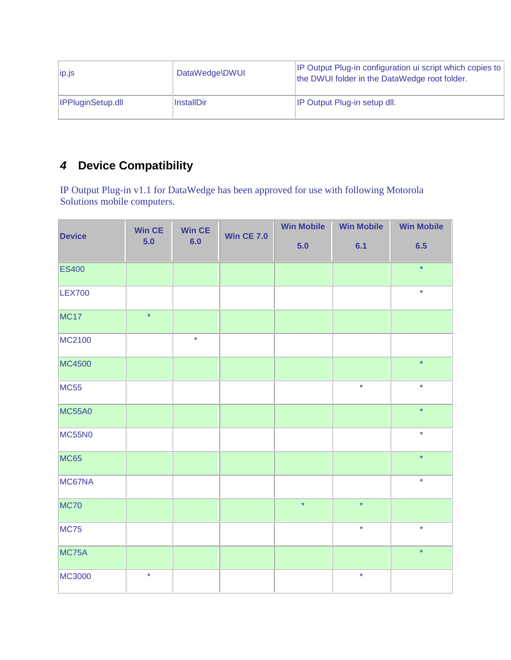| ip.js                    | DataWedge\DWUI | IP Output Plug-in configuration ui script which copies to<br>the DWUI folder in the DataWedge root folder. |  |  |
|--------------------------|----------------|------------------------------------------------------------------------------------------------------------|--|--|
| <b>IPPluginSetup.dll</b> | InstallDir     | IP Output Plug-in setup dll.                                                                               |  |  |

# *4* **Device Compatibility**

IP Output Plug-in v1.1 for DataWedge has been approved for use with following Motorola Solutions mobile computers.

| <b>Device</b> | <b>Win CE</b><br>5.0 | <b>Win CE</b><br>6.0 | <b>Win CE 7.0</b> | <b>Win Mobile</b> | <b>Win Mobile</b> | <b>Win Mobile</b> |
|---------------|----------------------|----------------------|-------------------|-------------------|-------------------|-------------------|
|               |                      |                      |                   | $5.0$             | 6.1               | 6.5               |
| <b>ES400</b>  |                      |                      |                   |                   |                   | $\star$           |
| <b>LEX700</b> |                      |                      |                   |                   |                   | $\star$           |
| <b>MC17</b>   | $\star$              |                      |                   |                   |                   |                   |
| MC2100        |                      | $\star$              |                   |                   |                   |                   |
| MC4500        |                      |                      |                   |                   |                   | $\star$           |
| <b>MC55</b>   |                      |                      |                   |                   | $\star$           | $\star$           |
| <b>MC55A0</b> |                      |                      |                   |                   |                   | $\star$           |
| <b>MC55N0</b> |                      |                      |                   |                   |                   | $\star$           |
| <b>MC65</b>   |                      |                      |                   |                   |                   | $\star$           |
| MC67NA        |                      |                      |                   |                   |                   | $\star$           |
| <b>MC70</b>   |                      |                      |                   | $\star$           | $\star$           |                   |
| <b>MC75</b>   |                      |                      |                   |                   | $\star$           | $\star$           |
| MC75A         |                      |                      |                   |                   |                   | $\star$           |
| MC3000        | $\star$              |                      |                   |                   | $\star$           |                   |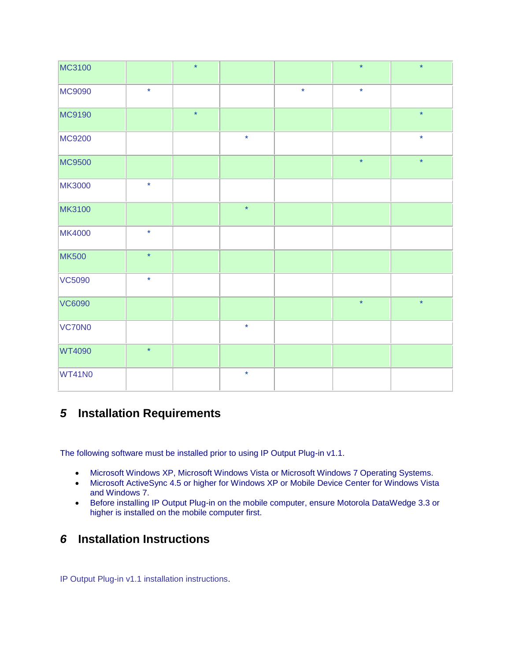| MC3100        |         | $\star$ |         |         | $\star$ | $\star$ |
|---------------|---------|---------|---------|---------|---------|---------|
| MC9090        | $\star$ |         |         | $\star$ | $\star$ |         |
| MC9190        |         | $\star$ |         |         |         | $\star$ |
| MC9200        |         |         | $\star$ |         |         | $\star$ |
| <b>MC9500</b> |         |         |         |         | $\star$ | $\star$ |
| <b>MK3000</b> | $\star$ |         |         |         |         |         |
| <b>MK3100</b> |         |         | $\star$ |         |         |         |
| <b>MK4000</b> | $\star$ |         |         |         |         |         |
| <b>MK500</b>  | $\star$ |         |         |         |         |         |
| <b>VC5090</b> | $\star$ |         |         |         |         |         |
| <b>VC6090</b> |         |         |         |         | $\star$ | $\star$ |
| VC70N0        |         |         | $\star$ |         |         |         |
| <b>WT4090</b> | $\star$ |         |         |         |         |         |
| <b>WT41N0</b> |         |         | $\star$ |         |         |         |

### *5* **Installation Requirements**

The following software must be installed prior to using IP Output Plug-in v1.1.

- Microsoft Windows XP, Microsoft Windows Vista or Microsoft Windows 7 Operating Systems.
- Microsoft ActiveSync 4.5 or higher for Windows XP or Mobile Device Center for Windows Vista and Windows 7.
- Before installing IP Output Plug-in on the mobile computer, ensure Motorola DataWedge 3.3 or higher is installed on the mobile computer first.

## *6* **Installation Instructions**

IP Output Plug-in v1.1 installation instructions.